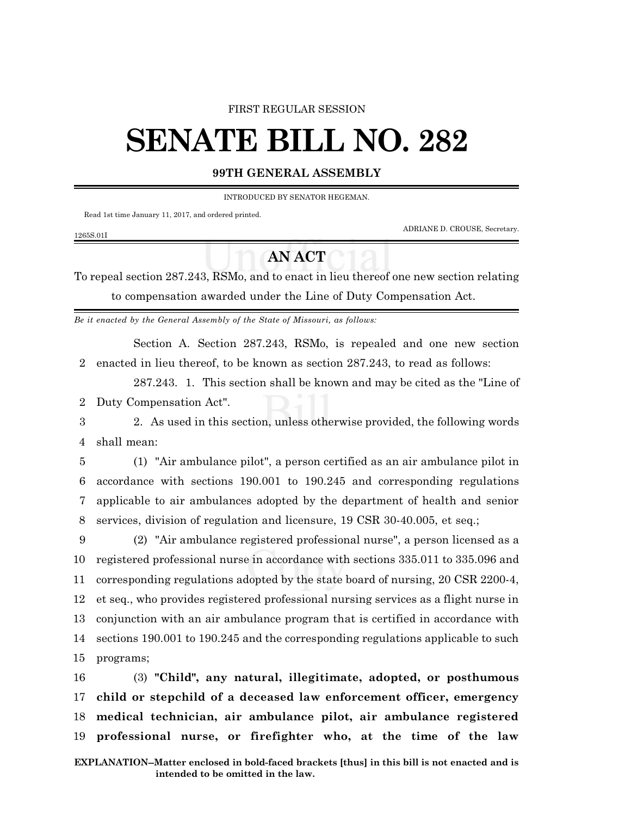#### FIRST REGULAR SESSION

# **SENATE BILL NO. 282**

### **99TH GENERAL ASSEMBLY**

INTRODUCED BY SENATOR HEGEMAN.

Read 1st time January 11, 2017, and ordered printed.

ADRIANE D. CROUSE, Secretary.

1265S.01I

## **AN ACT**

To repeal section 287.243, RSMo, and to enact in lieu thereof one new section relating to compensation awarded under the Line of Duty Compensation Act.

*Be it enacted by the General Assembly of the State of Missouri, as follows:*

Section A. Section 287.243, RSMo, is repealed and one new section 2 enacted in lieu thereof, to be known as section 287.243, to read as follows:

287.243. 1. This section shall be known and may be cited as the "Line of 2 Duty Compensation Act".

3 2. As used in this section, unless otherwise provided, the following words 4 shall mean:

 (1) "Air ambulance pilot", a person certified as an air ambulance pilot in accordance with sections 190.001 to 190.245 and corresponding regulations applicable to air ambulances adopted by the department of health and senior services, division of regulation and licensure, 19 CSR 30-40.005, et seq.;

 (2) "Air ambulance registered professional nurse", a person licensed as a registered professional nurse in accordance with sections 335.011 to 335.096 and corresponding regulations adopted by the state board of nursing, 20 CSR 2200-4, et seq., who provides registered professional nursing services as a flight nurse in conjunction with an air ambulance program that is certified in accordance with sections 190.001 to 190.245 and the corresponding regulations applicable to such programs;

 (3) **"Child", any natural, illegitimate, adopted, or posthumous child or stepchild of a deceased law enforcement officer, emergency medical technician, air ambulance pilot, air ambulance registered professional nurse, or firefighter who, at the time of the law**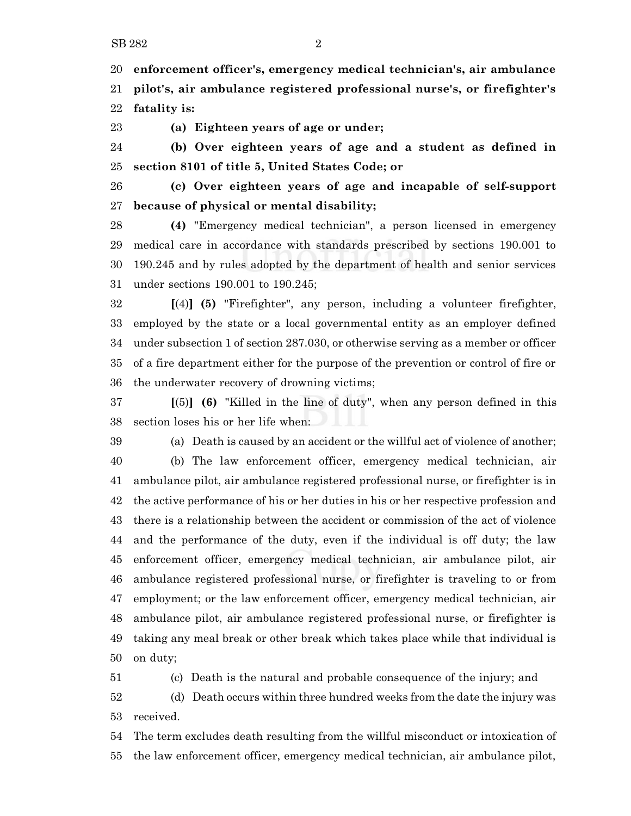**enforcement officer's, emergency medical technician's, air ambulance pilot's, air ambulance registered professional nurse's, or firefighter's fatality is:**

**(a) Eighteen years of age or under;**

 **(b) Over eighteen years of age and a student as defined in section 8101 of title 5, United States Code; or**

 **(c) Over eighteen years of age and incapable of self-support because of physical or mental disability;**

 **(4)** "Emergency medical technician", a person licensed in emergency medical care in accordance with standards prescribed by sections 190.001 to 190.245 and by rules adopted by the department of health and senior services under sections 190.001 to 190.245;

 **[**(4)**] (5)** "Firefighter", any person, including a volunteer firefighter, employed by the state or a local governmental entity as an employer defined under subsection 1 of section 287.030, or otherwise serving as a member or officer of a fire department either for the purpose of the prevention or control of fire or the underwater recovery of drowning victims;

 **[**(5)**] (6)** "Killed in the line of duty", when any person defined in this section loses his or her life when:

 (a) Death is caused by an accident or the willful act of violence of another; (b) The law enforcement officer, emergency medical technician, air ambulance pilot, air ambulance registered professional nurse, or firefighter is in the active performance of his or her duties in his or her respective profession and there is a relationship between the accident or commission of the act of violence and the performance of the duty, even if the individual is off duty; the law enforcement officer, emergency medical technician, air ambulance pilot, air ambulance registered professional nurse, or firefighter is traveling to or from employment; or the law enforcement officer, emergency medical technician, air ambulance pilot, air ambulance registered professional nurse, or firefighter is taking any meal break or other break which takes place while that individual is on duty;

(c) Death is the natural and probable consequence of the injury; and

 (d) Death occurs within three hundred weeks from the date the injury was received.

 The term excludes death resulting from the willful misconduct or intoxication of the law enforcement officer, emergency medical technician, air ambulance pilot,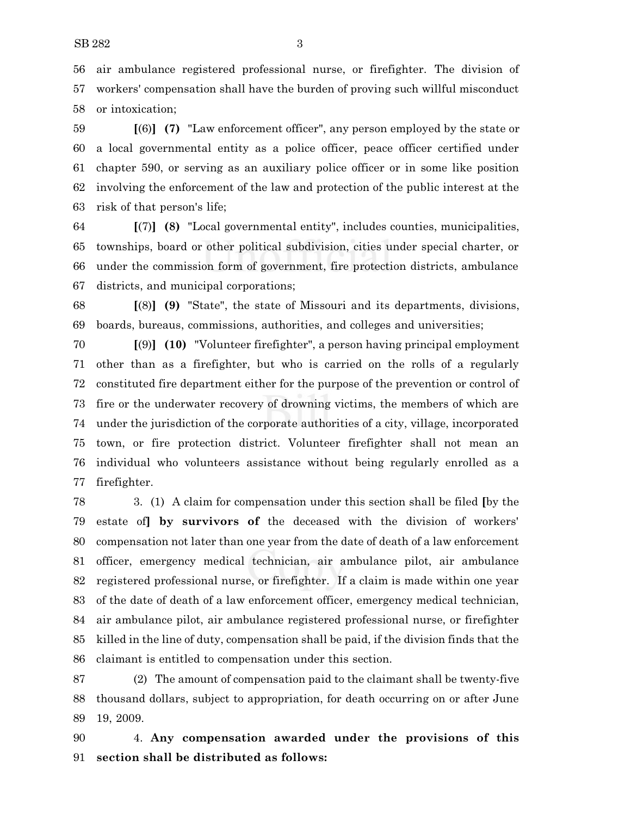air ambulance registered professional nurse, or firefighter. The division of workers' compensation shall have the burden of proving such willful misconduct or intoxication;

 **[**(6)**] (7)** "Law enforcement officer", any person employed by the state or a local governmental entity as a police officer, peace officer certified under chapter 590, or serving as an auxiliary police officer or in some like position involving the enforcement of the law and protection of the public interest at the risk of that person's life;

 **[**(7)**] (8)** "Local governmental entity", includes counties, municipalities, townships, board or other political subdivision, cities under special charter, or under the commission form of government, fire protection districts, ambulance districts, and municipal corporations;

 **[**(8)**] (9)** "State", the state of Missouri and its departments, divisions, boards, bureaus, commissions, authorities, and colleges and universities;

 **[**(9)**] (10)** "Volunteer firefighter", a person having principal employment other than as a firefighter, but who is carried on the rolls of a regularly constituted fire department either for the purpose of the prevention or control of fire or the underwater recovery of drowning victims, the members of which are under the jurisdiction of the corporate authorities of a city, village, incorporated town, or fire protection district. Volunteer firefighter shall not mean an individual who volunteers assistance without being regularly enrolled as a firefighter.

 3. (1) A claim for compensation under this section shall be filed **[**by the estate of**] by survivors of** the deceased with the division of workers' compensation not later than one year from the date of death of a law enforcement officer, emergency medical technician, air ambulance pilot, air ambulance registered professional nurse, or firefighter. If a claim is made within one year of the date of death of a law enforcement officer, emergency medical technician, air ambulance pilot, air ambulance registered professional nurse, or firefighter killed in the line of duty, compensation shall be paid, if the division finds that the claimant is entitled to compensation under this section.

 (2) The amount of compensation paid to the claimant shall be twenty-five thousand dollars, subject to appropriation, for death occurring on or after June 19, 2009.

 4. **Any compensation awarded under the provisions of this section shall be distributed as follows:**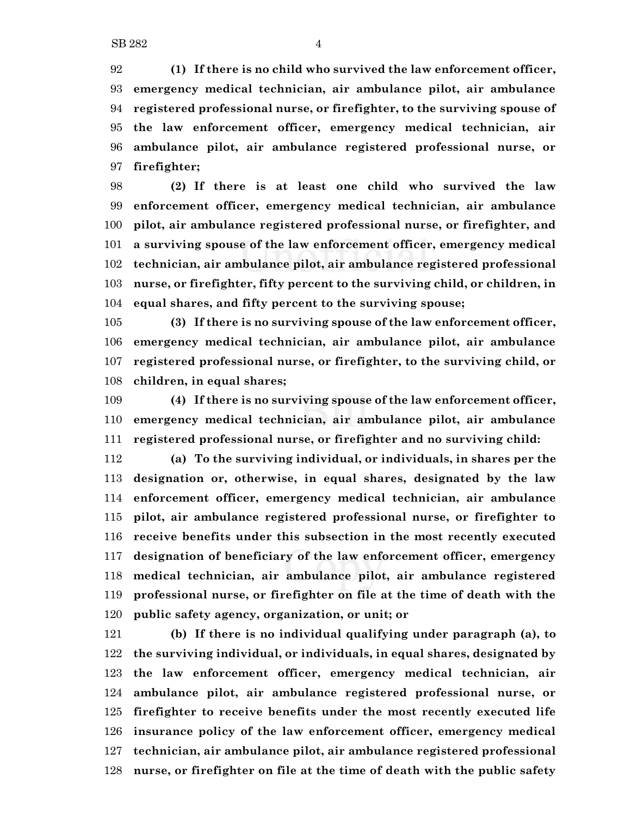**(1) If there is no child who survived the law enforcement officer, emergency medical technician, air ambulance pilot, air ambulance registered professional nurse, or firefighter, to the surviving spouse of the law enforcement officer, emergency medical technician, air ambulance pilot, air ambulance registered professional nurse, or firefighter;**

 **(2) If there is at least one child who survived the law enforcement officer, emergency medical technician, air ambulance pilot, air ambulance registered professional nurse, or firefighter, and a surviving spouse of the law enforcement officer, emergency medical technician, air ambulance pilot, air ambulance registered professional nurse, or firefighter, fifty percent to the surviving child, or children, in equal shares, and fifty percent to the surviving spouse;**

 **(3) If there is no surviving spouse of the law enforcement officer, emergency medical technician, air ambulance pilot, air ambulance registered professional nurse, or firefighter, to the surviving child, or children, in equal shares;**

 **(4) If there is no surviving spouse of the law enforcement officer, emergency medical technician, air ambulance pilot, air ambulance registered professional nurse, or firefighter and no surviving child:**

 **(a) To the surviving individual, or individuals, in shares per the designation or, otherwise, in equal shares, designated by the law enforcement officer, emergency medical technician, air ambulance pilot, air ambulance registered professional nurse, or firefighter to receive benefits under this subsection in the most recently executed designation of beneficiary of the law enforcement officer, emergency medical technician, air ambulance pilot, air ambulance registered professional nurse, or firefighter on file at the time of death with the public safety agency, organization, or unit; or**

 **(b) If there is no individual qualifying under paragraph (a), to the surviving individual, or individuals, in equal shares, designated by the law enforcement officer, emergency medical technician, air ambulance pilot, air ambulance registered professional nurse, or firefighter to receive benefits under the most recently executed life insurance policy of the law enforcement officer, emergency medical technician, air ambulance pilot, air ambulance registered professional nurse, or firefighter on file at the time of death with the public safety**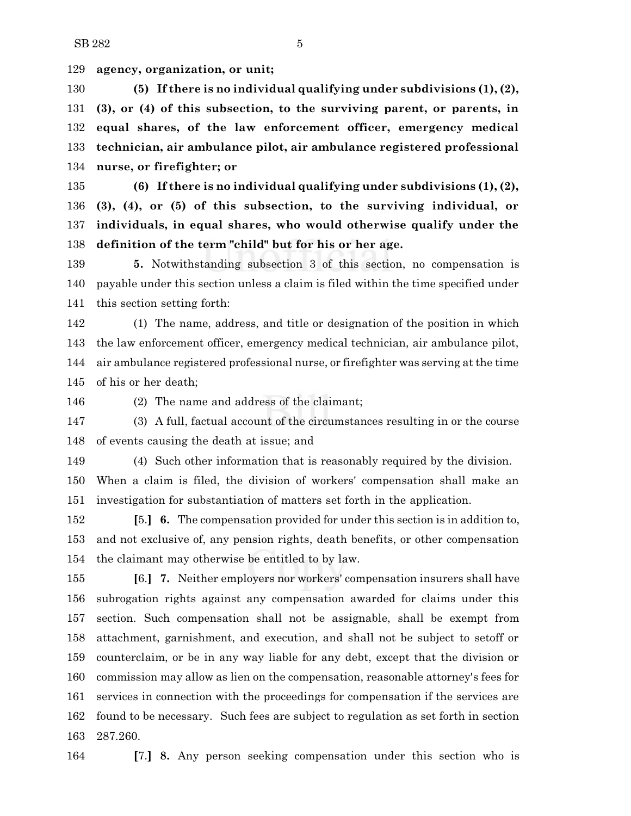**agency, organization, or unit;**

 **(5) If there is no individual qualifying under subdivisions (1), (2), (3), or (4) of this subsection, to the surviving parent, or parents, in equal shares, of the law enforcement officer, emergency medical technician, air ambulance pilot, air ambulance registered professional nurse, or firefighter; or**

 **(6) If there is no individual qualifying under subdivisions (1), (2), (3), (4), or (5) of this subsection, to the surviving individual, or individuals, in equal shares, who would otherwise qualify under the definition of the term "child" but for his or her age.**

 **5.** Notwithstanding subsection 3 of this section, no compensation is payable under this section unless a claim is filed within the time specified under this section setting forth:

 (1) The name, address, and title or designation of the position in which the law enforcement officer, emergency medical technician, air ambulance pilot, air ambulance registered professional nurse, or firefighter was serving at the time of his or her death;

(2) The name and address of the claimant;

 (3) A full, factual account of the circumstances resulting in or the course of events causing the death at issue; and

 (4) Such other information that is reasonably required by the division. When a claim is filed, the division of workers' compensation shall make an investigation for substantiation of matters set forth in the application.

 **[**5.**] 6.** The compensation provided for under this section is in addition to, and not exclusive of, any pension rights, death benefits, or other compensation the claimant may otherwise be entitled to by law.

 **[**6.**] 7.** Neither employers nor workers' compensation insurers shall have subrogation rights against any compensation awarded for claims under this section. Such compensation shall not be assignable, shall be exempt from attachment, garnishment, and execution, and shall not be subject to setoff or counterclaim, or be in any way liable for any debt, except that the division or commission may allow as lien on the compensation, reasonable attorney's fees for services in connection with the proceedings for compensation if the services are found to be necessary. Such fees are subject to regulation as set forth in section 287.260.

**[**7.**] 8.** Any person seeking compensation under this section who is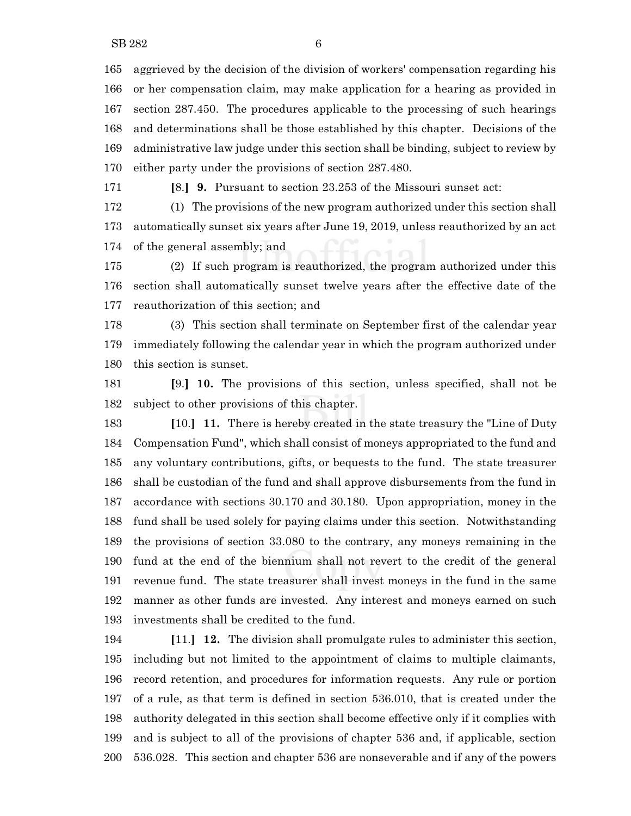aggrieved by the decision of the division of workers' compensation regarding his or her compensation claim, may make application for a hearing as provided in section 287.450. The procedures applicable to the processing of such hearings and determinations shall be those established by this chapter. Decisions of the administrative law judge under this section shall be binding, subject to review by either party under the provisions of section 287.480.

**[**8.**] 9.** Pursuant to section 23.253 of the Missouri sunset act:

 (1) The provisions of the new program authorized under this section shall automatically sunset six years after June 19, 2019, unless reauthorized by an act of the general assembly; and

 (2) If such program is reauthorized, the program authorized under this section shall automatically sunset twelve years after the effective date of the reauthorization of this section; and

 (3) This section shall terminate on September first of the calendar year immediately following the calendar year in which the program authorized under this section is sunset.

 **[**9.**] 10.** The provisions of this section, unless specified, shall not be subject to other provisions of this chapter.

 **[**10.**] 11.** There is hereby created in the state treasury the "Line of Duty Compensation Fund", which shall consist of moneys appropriated to the fund and any voluntary contributions, gifts, or bequests to the fund. The state treasurer shall be custodian of the fund and shall approve disbursements from the fund in accordance with sections 30.170 and 30.180. Upon appropriation, money in the fund shall be used solely for paying claims under this section. Notwithstanding the provisions of section 33.080 to the contrary, any moneys remaining in the fund at the end of the biennium shall not revert to the credit of the general revenue fund. The state treasurer shall invest moneys in the fund in the same manner as other funds are invested. Any interest and moneys earned on such investments shall be credited to the fund.

 **[**11.**] 12.** The division shall promulgate rules to administer this section, including but not limited to the appointment of claims to multiple claimants, record retention, and procedures for information requests. Any rule or portion of a rule, as that term is defined in section 536.010, that is created under the authority delegated in this section shall become effective only if it complies with and is subject to all of the provisions of chapter 536 and, if applicable, section 536.028. This section and chapter 536 are nonseverable and if any of the powers